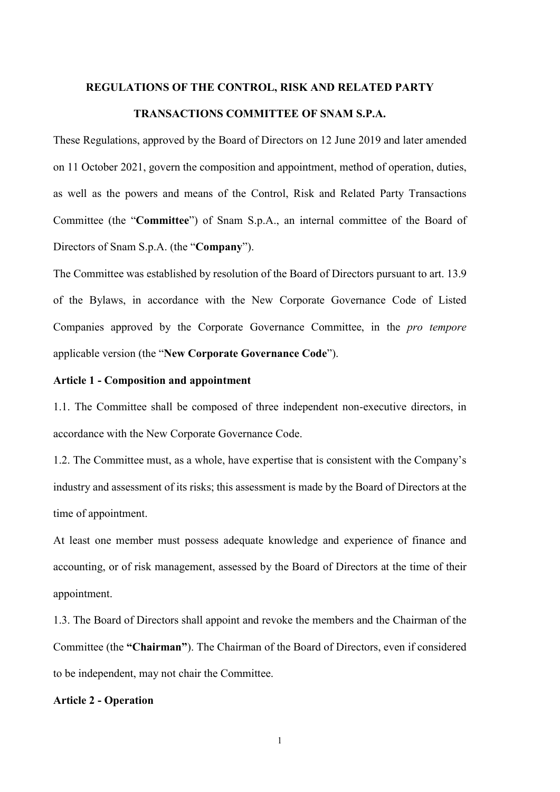#### REGULATIONS OF THE CONTROL, RISK AND RELATED PARTY

## TRANSACTIONS COMMITTEE OF SNAM S.P.A.

These Regulations, approved by the Board of Directors on 12 June 2019 and later amended on 11 October 2021, govern the composition and appointment, method of operation, duties, as well as the powers and means of the Control, Risk and Related Party Transactions Committee (the "Committee") of Snam S.p.A., an internal committee of the Board of Directors of Snam S.p.A. (the "Company").

The Committee was established by resolution of the Board of Directors pursuant to art. 13.9 of the Bylaws, in accordance with the New Corporate Governance Code of Listed Companies approved by the Corporate Governance Committee, in the pro tempore applicable version (the "New Corporate Governance Code").

### Article 1 - Composition and appointment

1.1. The Committee shall be composed of three independent non-executive directors, in accordance with the New Corporate Governance Code.

1.2. The Committee must, as a whole, have expertise that is consistent with the Company's industry and assessment of its risks; this assessment is made by the Board of Directors at the time of appointment.

At least one member must possess adequate knowledge and experience of finance and accounting, or of risk management, assessed by the Board of Directors at the time of their appointment.

1.3. The Board of Directors shall appoint and revoke the members and the Chairman of the Committee (the "Chairman"). The Chairman of the Board of Directors, even if considered to be independent, may not chair the Committee.

#### Article 2 - Operation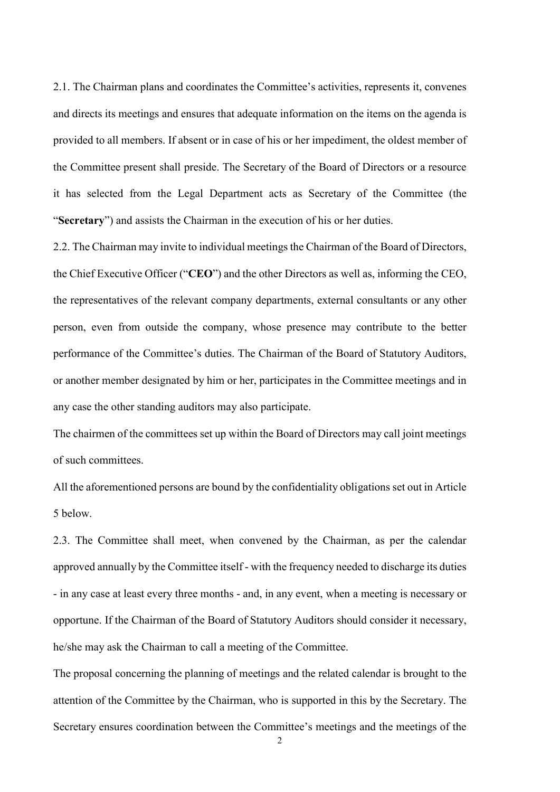2.1. The Chairman plans and coordinates the Committee's activities, represents it, convenes and directs its meetings and ensures that adequate information on the items on the agenda is provided to all members. If absent or in case of his or her impediment, the oldest member of the Committee present shall preside. The Secretary of the Board of Directors or a resource it has selected from the Legal Department acts as Secretary of the Committee (the "Secretary") and assists the Chairman in the execution of his or her duties.

2.2. The Chairman may invite to individual meetings the Chairman of the Board of Directors, the Chief Executive Officer ("CEO") and the other Directors as well as, informing the CEO, the representatives of the relevant company departments, external consultants or any other person, even from outside the company, whose presence may contribute to the better performance of the Committee's duties. The Chairman of the Board of Statutory Auditors, or another member designated by him or her, participates in the Committee meetings and in any case the other standing auditors may also participate.

The chairmen of the committees set up within the Board of Directors may call joint meetings of such committees.

All the aforementioned persons are bound by the confidentiality obligations set out in Article 5 below.

2.3. The Committee shall meet, when convened by the Chairman, as per the calendar approved annually by the Committee itself - with the frequency needed to discharge its duties - in any case at least every three months - and, in any event, when a meeting is necessary or opportune. If the Chairman of the Board of Statutory Auditors should consider it necessary, he/she may ask the Chairman to call a meeting of the Committee.

The proposal concerning the planning of meetings and the related calendar is brought to the attention of the Committee by the Chairman, who is supported in this by the Secretary. The Secretary ensures coordination between the Committee's meetings and the meetings of the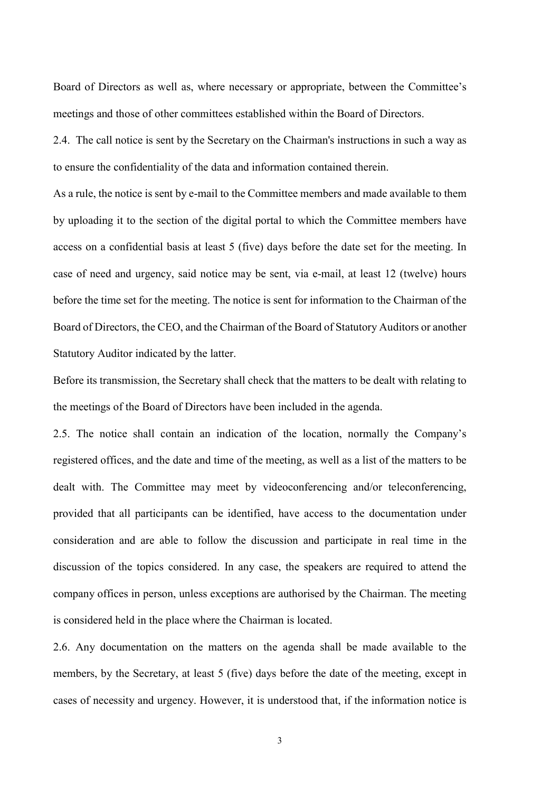Board of Directors as well as, where necessary or appropriate, between the Committee's meetings and those of other committees established within the Board of Directors.

2.4. The call notice is sent by the Secretary on the Chairman's instructions in such a way as to ensure the confidentiality of the data and information contained therein.

As a rule, the notice is sent by e-mail to the Committee members and made available to them by uploading it to the section of the digital portal to which the Committee members have access on a confidential basis at least 5 (five) days before the date set for the meeting. In case of need and urgency, said notice may be sent, via e-mail, at least 12 (twelve) hours before the time set for the meeting. The notice is sent for information to the Chairman of the Board of Directors, the CEO, and the Chairman of the Board of Statutory Auditors or another Statutory Auditor indicated by the latter.

Before its transmission, the Secretary shall check that the matters to be dealt with relating to the meetings of the Board of Directors have been included in the agenda.

2.5. The notice shall contain an indication of the location, normally the Company's registered offices, and the date and time of the meeting, as well as a list of the matters to be dealt with. The Committee may meet by videoconferencing and/or teleconferencing, provided that all participants can be identified, have access to the documentation under consideration and are able to follow the discussion and participate in real time in the discussion of the topics considered. In any case, the speakers are required to attend the company offices in person, unless exceptions are authorised by the Chairman. The meeting is considered held in the place where the Chairman is located.

2.6. Any documentation on the matters on the agenda shall be made available to the members, by the Secretary, at least 5 (five) days before the date of the meeting, except in cases of necessity and urgency. However, it is understood that, if the information notice is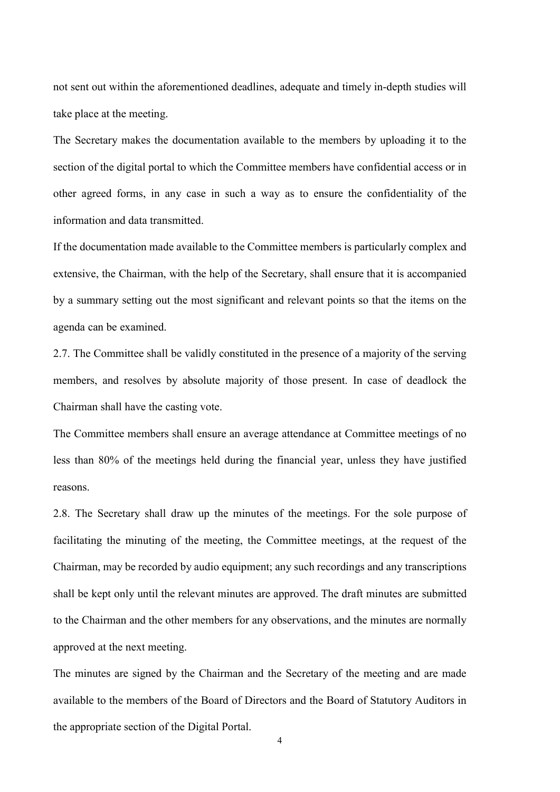not sent out within the aforementioned deadlines, adequate and timely in-depth studies will take place at the meeting.

The Secretary makes the documentation available to the members by uploading it to the section of the digital portal to which the Committee members have confidential access or in other agreed forms, in any case in such a way as to ensure the confidentiality of the information and data transmitted.

If the documentation made available to the Committee members is particularly complex and extensive, the Chairman, with the help of the Secretary, shall ensure that it is accompanied by a summary setting out the most significant and relevant points so that the items on the agenda can be examined.

2.7. The Committee shall be validly constituted in the presence of a majority of the serving members, and resolves by absolute majority of those present. In case of deadlock the Chairman shall have the casting vote.

The Committee members shall ensure an average attendance at Committee meetings of no less than 80% of the meetings held during the financial year, unless they have justified reasons.

2.8. The Secretary shall draw up the minutes of the meetings. For the sole purpose of facilitating the minuting of the meeting, the Committee meetings, at the request of the Chairman, may be recorded by audio equipment; any such recordings and any transcriptions shall be kept only until the relevant minutes are approved. The draft minutes are submitted to the Chairman and the other members for any observations, and the minutes are normally approved at the next meeting.

The minutes are signed by the Chairman and the Secretary of the meeting and are made available to the members of the Board of Directors and the Board of Statutory Auditors in the appropriate section of the Digital Portal.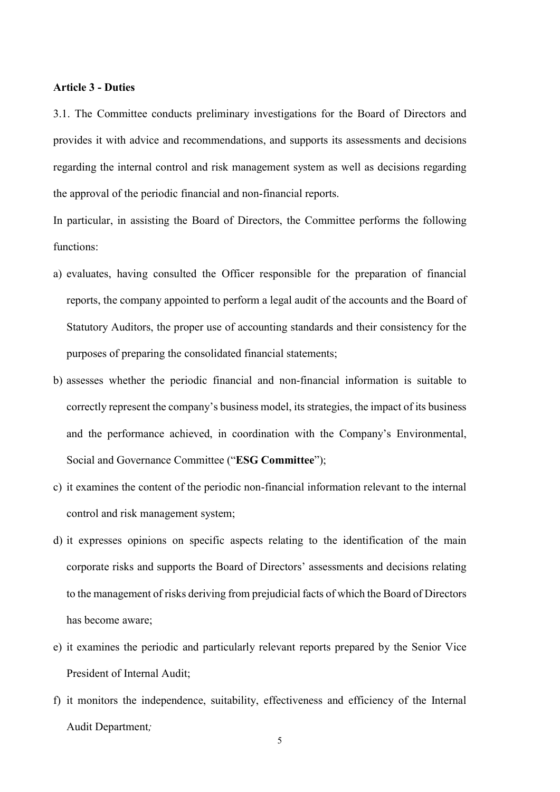## Article 3 - Duties

3.1. The Committee conducts preliminary investigations for the Board of Directors and provides it with advice and recommendations, and supports its assessments and decisions regarding the internal control and risk management system as well as decisions regarding the approval of the periodic financial and non-financial reports.

In particular, in assisting the Board of Directors, the Committee performs the following functions:

- a) evaluates, having consulted the Officer responsible for the preparation of financial reports, the company appointed to perform a legal audit of the accounts and the Board of Statutory Auditors, the proper use of accounting standards and their consistency for the purposes of preparing the consolidated financial statements;
- b) assesses whether the periodic financial and non-financial information is suitable to correctly represent the company's business model, its strategies, the impact of its business and the performance achieved, in coordination with the Company's Environmental, Social and Governance Committee ("ESG Committee");
- c) it examines the content of the periodic non-financial information relevant to the internal control and risk management system;
- d) it expresses opinions on specific aspects relating to the identification of the main corporate risks and supports the Board of Directors' assessments and decisions relating to the management of risks deriving from prejudicial facts of which the Board of Directors has become aware;
- e) it examines the periodic and particularly relevant reports prepared by the Senior Vice President of Internal Audit;
- f) it monitors the independence, suitability, effectiveness and efficiency of the Internal Audit Department;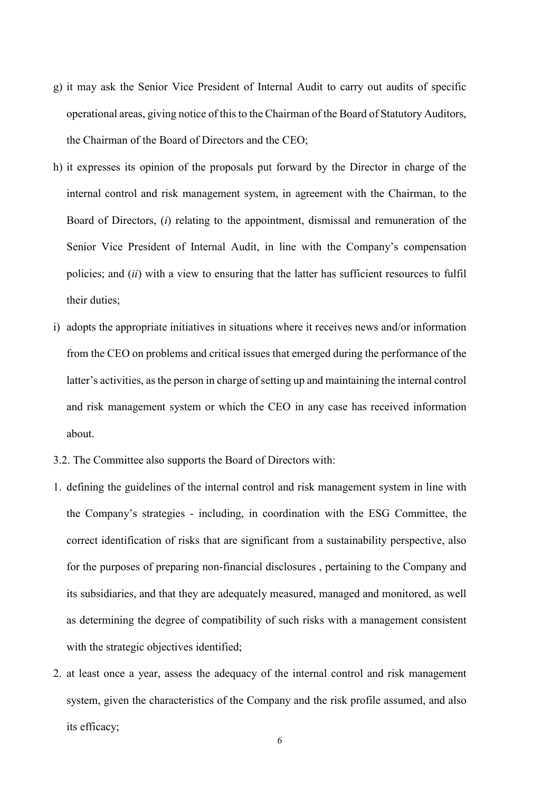- g) it may ask the Senior Vice President of Internal Audit to carry out audits of specific operational areas, giving notice of this to the Chairman of the Board of Statutory Auditors, the Chairman of the Board of Directors and the CEO;
- h) it expresses its opinion of the proposals put forward by the Director in charge of the internal control and risk management system, in agreement with the Chairman, to the Board of Directors, (i) relating to the appointment, dismissal and remuneration of the Senior Vice President of Internal Audit, in line with the Company's compensation policies; and (ii) with a view to ensuring that the latter has sufficient resources to fulfil their duties;
- i) adopts the appropriate initiatives in situations where it receives news and/or information from the CEO on problems and critical issues that emerged during the performance of the latter's activities, as the person in charge of setting up and maintaining the internal control and risk management system or which the CEO in any case has received information about.
- 3.2. The Committee also supports the Board of Directors with:
- 1. defining the guidelines of the internal control and risk management system in line with the Company's strategies - including, in coordination with the ESG Committee, the correct identification of risks that are significant from a sustainability perspective, also for the purposes of preparing non-financial disclosures , pertaining to the Company and its subsidiaries, and that they are adequately measured, managed and monitored, as well as determining the degree of compatibility of such risks with a management consistent with the strategic objectives identified;
- 2. at least once a year, assess the adequacy of the internal control and risk management system, given the characteristics of the Company and the risk profile assumed, and also its efficacy;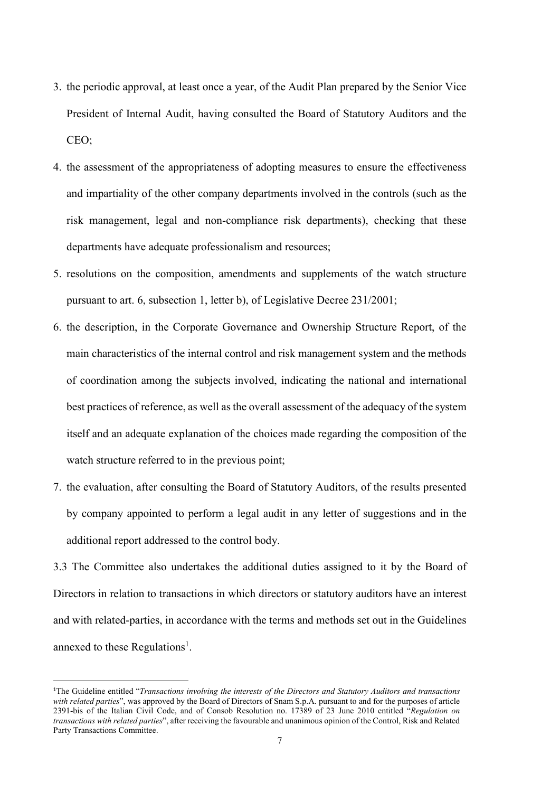- 3. the periodic approval, at least once a year, of the Audit Plan prepared by the Senior Vice President of Internal Audit, having consulted the Board of Statutory Auditors and the CEO;
- 4. the assessment of the appropriateness of adopting measures to ensure the effectiveness and impartiality of the other company departments involved in the controls (such as the risk management, legal and non-compliance risk departments), checking that these departments have adequate professionalism and resources;
- 5. resolutions on the composition, amendments and supplements of the watch structure pursuant to art. 6, subsection 1, letter b), of Legislative Decree 231/2001;
- 6. the description, in the Corporate Governance and Ownership Structure Report, of the main characteristics of the internal control and risk management system and the methods of coordination among the subjects involved, indicating the national and international best practices of reference, as well as the overall assessment of the adequacy of the system itself and an adequate explanation of the choices made regarding the composition of the watch structure referred to in the previous point;
- 7. the evaluation, after consulting the Board of Statutory Auditors, of the results presented by company appointed to perform a legal audit in any letter of suggestions and in the additional report addressed to the control body.

3.3 The Committee also undertakes the additional duties assigned to it by the Board of Directors in relation to transactions in which directors or statutory auditors have an interest and with related-parties, in accordance with the terms and methods set out in the Guidelines annexed to these Regulations<sup>1</sup>.

-

<sup>&</sup>lt;sup>1</sup>The Guideline entitled "Transactions involving the interests of the Directors and Statutory Auditors and transactions with related parties", was approved by the Board of Directors of Snam S.p.A. pursuant to and for the purposes of article 2391-bis of the Italian Civil Code, and of Consob Resolution no. 17389 of 23 June 2010 entitled "Regulation on transactions with related parties", after receiving the favourable and unanimous opinion of the Control, Risk and Related Party Transactions Committee.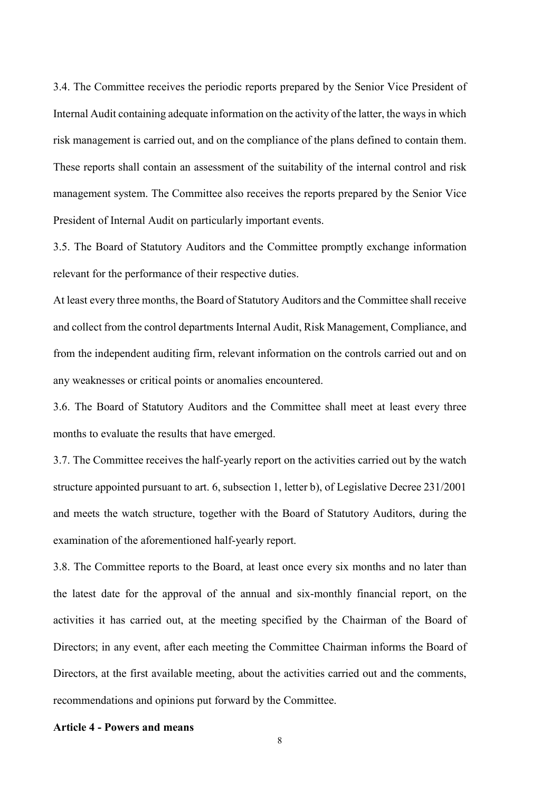3.4. The Committee receives the periodic reports prepared by the Senior Vice President of Internal Audit containing adequate information on the activity of the latter, the ways in which risk management is carried out, and on the compliance of the plans defined to contain them. These reports shall contain an assessment of the suitability of the internal control and risk management system. The Committee also receives the reports prepared by the Senior Vice President of Internal Audit on particularly important events.

3.5. The Board of Statutory Auditors and the Committee promptly exchange information relevant for the performance of their respective duties.

At least every three months, the Board of Statutory Auditors and the Committee shall receive and collect from the control departments Internal Audit, Risk Management, Compliance, and from the independent auditing firm, relevant information on the controls carried out and on any weaknesses or critical points or anomalies encountered.

3.6. The Board of Statutory Auditors and the Committee shall meet at least every three months to evaluate the results that have emerged.

3.7. The Committee receives the half-yearly report on the activities carried out by the watch structure appointed pursuant to art. 6, subsection 1, letter b), of Legislative Decree 231/2001 and meets the watch structure, together with the Board of Statutory Auditors, during the examination of the aforementioned half-yearly report.

3.8. The Committee reports to the Board, at least once every six months and no later than the latest date for the approval of the annual and six-monthly financial report, on the activities it has carried out, at the meeting specified by the Chairman of the Board of Directors; in any event, after each meeting the Committee Chairman informs the Board of Directors, at the first available meeting, about the activities carried out and the comments, recommendations and opinions put forward by the Committee.

## Article 4 - Powers and means